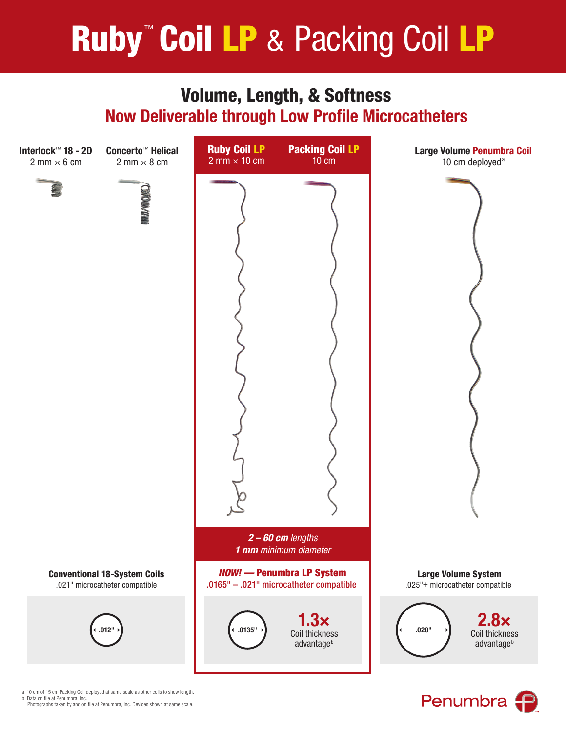# **Ruby<sup>™</sup> Coil LP & Packing Coil LP**

# Volume, Length, & Softness Now Deliverable through Low Profile Microcatheters



Penumbra f

a. 10 cm of 15 cm Packing Coil deployed at same scale as other coils to show length. b. Data on file at Penumbra, Inc.

Photographs taken by and on file at Penumbra, Inc. Devices shown at same scale.